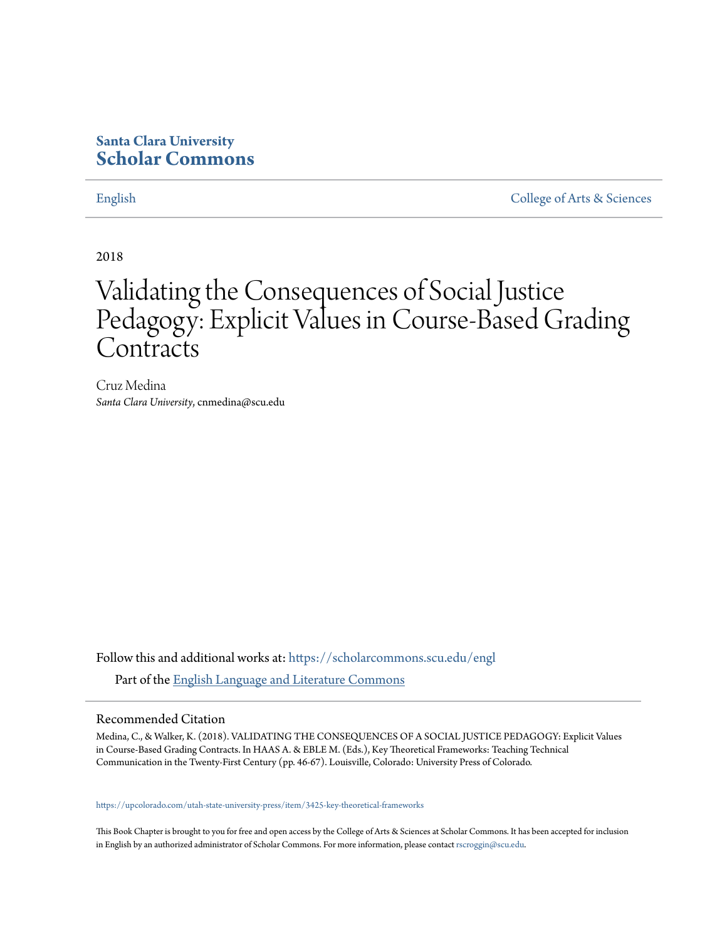## **Santa Clara University [Scholar Commons](https://scholarcommons.scu.edu?utm_source=scholarcommons.scu.edu%2Fengl%2F174&utm_medium=PDF&utm_campaign=PDFCoverPages)**

[English](https://scholarcommons.scu.edu/engl?utm_source=scholarcommons.scu.edu%2Fengl%2F174&utm_medium=PDF&utm_campaign=PDFCoverPages) [College of Arts & Sciences](https://scholarcommons.scu.edu/cas?utm_source=scholarcommons.scu.edu%2Fengl%2F174&utm_medium=PDF&utm_campaign=PDFCoverPages)

2018

# Validating the Consequences of Social Justice Pedagogy: Explicit Values in Course-Based Grading **Contracts**

Cruz Medina *Santa Clara University*, cnmedina@scu.edu

Follow this and additional works at: [https://scholarcommons.scu.edu/engl](https://scholarcommons.scu.edu/engl?utm_source=scholarcommons.scu.edu%2Fengl%2F174&utm_medium=PDF&utm_campaign=PDFCoverPages) Part of the [English Language and Literature Commons](http://network.bepress.com/hgg/discipline/455?utm_source=scholarcommons.scu.edu%2Fengl%2F174&utm_medium=PDF&utm_campaign=PDFCoverPages)

## Recommended Citation

Medina, C., & Walker, K. (2018). VALIDATING THE CONSEQUENCES OF A SOCIAL JUSTICE PEDAGOGY: Explicit Values in Course-Based Grading Contracts. In HAAS A. & EBLE M. (Eds.), Key Theoretical Frameworks: Teaching Technical Communication in the Twenty-First Century (pp. 46-67). Louisville, Colorado: University Press of Colorado.

#### [https://upcolorado.com/utah-state-university-press/item/3425-key-theoretical-frameworks](https://urldefense.proofpoint.com/v2/url?u=https-3A__upcolorado.com_utah-2Dstate-2Duniversity-2Dpress_item_3425-2Dkey-2Dtheoretical-2Dframeworks&d=DwMFaQ&c=iVyFbx9TtkoGWXYs40w9MA&r=-8wfr4a1iWMOLDz_IYs_pWdwjMcKddAUQHDJW1LCRrQ&m=VQyMIZvsHG8DcFJKTTNMs9a1d3Qg7Dl2_t-4-8k9A2o&s=J9B2Wo7zmlPIVVb1Hk52WkviAoZkXaiQJbkI3ZSILQw&e=)

This Book Chapter is brought to you for free and open access by the College of Arts & Sciences at Scholar Commons. It has been accepted for inclusion in English by an authorized administrator of Scholar Commons. For more information, please contact [rscroggin@scu.edu.](mailto:rscroggin@scu.edu)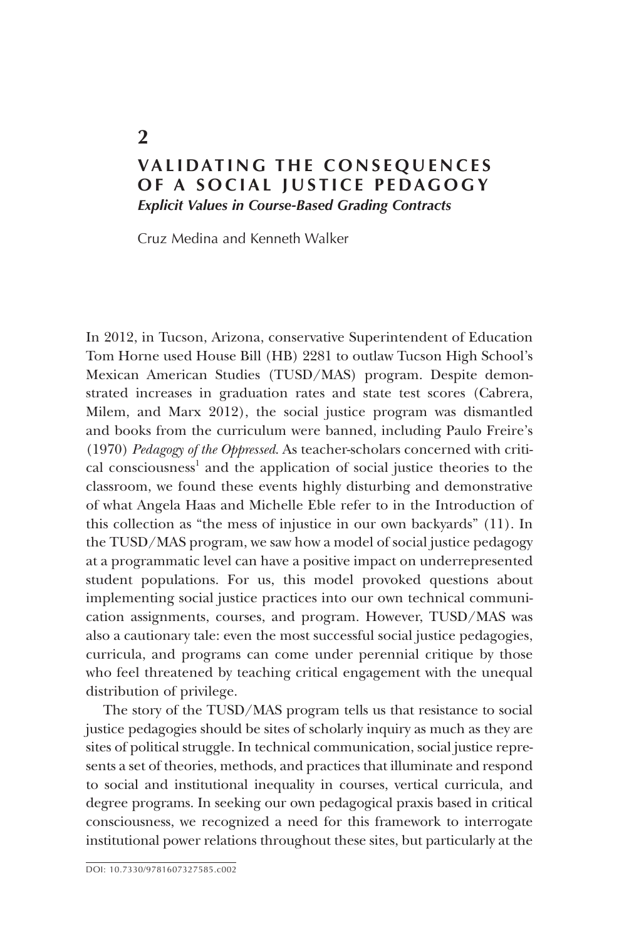## **VALIDATING THE CONSEQUENCES OF A SOCIAL JUSTICE PEDAGOGY** *Explicit Values in Course-Based Grading Contracts*

Cruz Medina and Kenneth Walker

In 2012, in Tucson, Arizona, conservative Superintendent of Education Tom Horne used House Bill (HB) 2281 to outlaw Tucson High School's Mexican American Studies (TUSD/MAS) program. Despite demonstrated increases in graduation rates and state test scores (Cabrera, Milem, and Marx 2012), the social justice program was dismantled and books from the curriculum were banned, including Paulo Freire's (1970) *Pedagogy of the Oppressed*. As teacher-scholars concerned with critical consciousness<sup>1</sup> and the application of social justice theories to the classroom, we found these events highly disturbing and demonstrative of what Angela Haas and Michelle Eble refer to in the Introduction of this collection as "the mess of injustice in our own backyards" (11). In the TUSD/MAS program, we saw how a model of social justice pedagogy at a programmatic level can have a positive impact on underrepresented student populations. For us, this model provoked questions about implementing social justice practices into our own technical communication assignments, courses, and program. However, TUSD/MAS was also a cautionary tale: even the most successful social justice pedagogies, curricula, and programs can come under perennial critique by those who feel threatened by teaching critical engagement with the unequal distribution of privilege.

The story of the TUSD/MAS program tells us that resistance to social justice pedagogies should be sites of scholarly inquiry as much as they are sites of political struggle. In technical communication, social justice represents a set of theories, methods, and practices that illuminate and respond to social and institutional inequality in courses, vertical curricula, and degree programs. In seeking our own pedagogical praxis based in critical consciousness, we recognized a need for this framework to interrogate institutional power relations throughout these sites, but particularly at the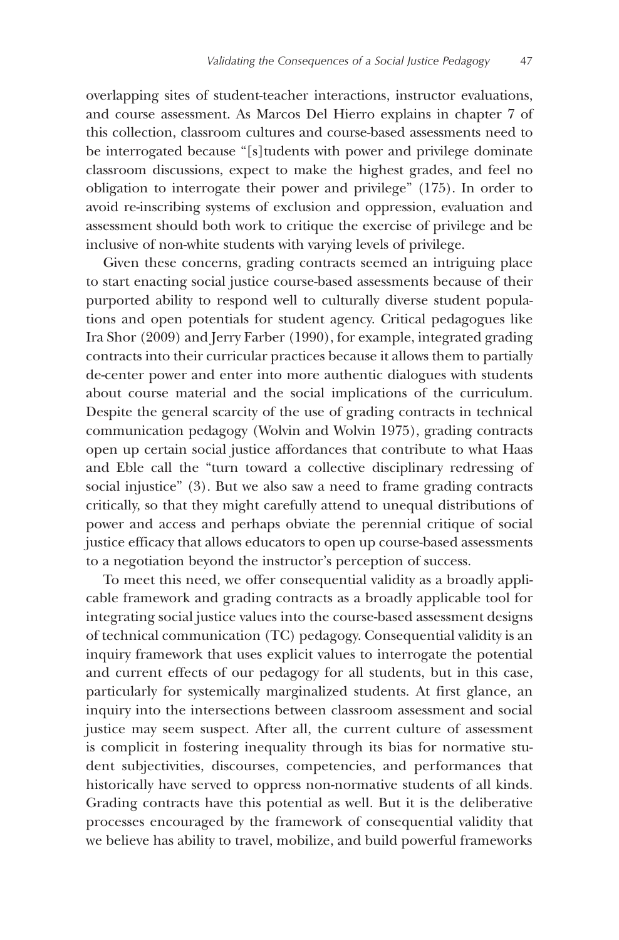overlapping sites of student-teacher interactions, instructor evaluations, and course assessment. As Marcos Del Hierro explains in chapter 7 of this collection, classroom cultures and course-based assessments need to be interrogated because "[s]tudents with power and privilege dominate classroom discussions, expect to make the highest grades, and feel no obligation to interrogate their power and privilege" (175). In order to avoid re-inscribing systems of exclusion and oppression, evaluation and assessment should both work to critique the exercise of privilege and be inclusive of non-white students with varying levels of privilege.

Given these concerns, grading contracts seemed an intriguing place to start enacting social justice course-based assessments because of their purported ability to respond well to culturally diverse student populations and open potentials for student agency. Critical pedagogues like Ira Shor (2009) and Jerry Farber (1990), for example, integrated grading contracts into their curricular practices because it allows them to partially de-center power and enter into more authentic dialogues with students about course material and the social implications of the curriculum. Despite the general scarcity of the use of grading contracts in technical communication pedagogy (Wolvin and Wolvin 1975), grading contracts open up certain social justice affordances that contribute to what Haas and Eble call the "turn toward a collective disciplinary redressing of social injustice" (3). But we also saw a need to frame grading contracts critically, so that they might carefully attend to unequal distributions of power and access and perhaps obviate the perennial critique of social justice efficacy that allows educators to open up course-based assessments to a negotiation beyond the instructor's perception of success.

To meet this need, we offer consequential validity as a broadly applicable framework and grading contracts as a broadly applicable tool for integrating social justice values into the course-based assessment designs of technical communication (TC) pedagogy. Consequential validity is an inquiry framework that uses explicit values to interrogate the potential and current effects of our pedagogy for all students, but in this case, particularly for systemically marginalized students. At first glance, an inquiry into the intersections between classroom assessment and social justice may seem suspect. After all, the current culture of assessment is complicit in fostering inequality through its bias for normative student subjectivities, discourses, competencies, and performances that historically have served to oppress non-normative students of all kinds. Grading contracts have this potential as well. But it is the deliberative processes encouraged by the framework of consequential validity that we believe has ability to travel, mobilize, and build powerful frameworks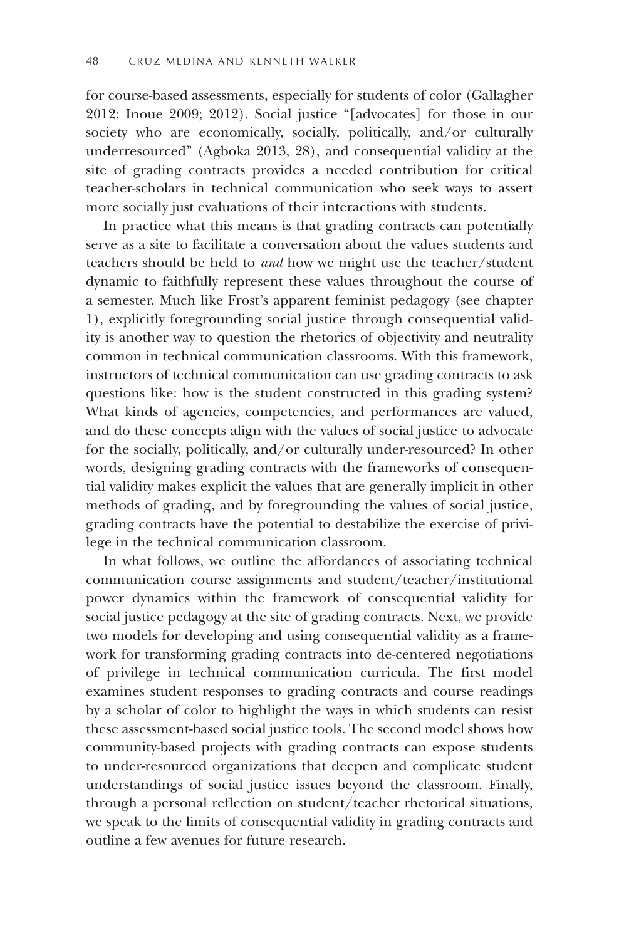for course-based assessments, especially for students of color (Gallagher 2012; Inoue 2009; 2012). Social justice "[advocates] for those in our society who are economically, socially, politically, and/or culturally underresourced" (Agboka 2013, 28), and consequential validity at the site of grading contracts provides a needed contribution for critical teacher-scholars in technical communication who seek ways to assert more socially just evaluations of their interactions with students.

In practice what this means is that grading contracts can potentially serve as a site to facilitate a conversation about the values students and teachers should be held to *and* how we might use the teacher/student dynamic to faithfully represent these values throughout the course of a semester. Much like Frost's apparent feminist pedagogy (see chapter 1), explicitly foregrounding social justice through consequential validity is another way to question the rhetorics of objectivity and neutrality common in technical communication classrooms. With this framework, instructors of technical communication can use grading contracts to ask questions like: how is the student constructed in this grading system? What kinds of agencies, competencies, and performances are valued, and do these concepts align with the values of social justice to advocate for the socially, politically, and/or culturally under-resourced? In other words, designing grading contracts with the frameworks of consequential validity makes explicit the values that are generally implicit in other methods of grading, and by foregrounding the values of social justice, grading contracts have the potential to destabilize the exercise of privilege in the technical communication classroom.

In what follows, we outline the affordances of associating technical communication course assignments and student/teacher/institutional power dynamics within the framework of consequential validity for social justice pedagogy at the site of grading contracts. Next, we provide two models for developing and using consequential validity as a framework for transforming grading contracts into de-centered negotiations of privilege in technical communication curricula. The first model examines student responses to grading contracts and course readings by a scholar of color to highlight the ways in which students can resist these assessment-based social justice tools. The second model shows how community-based projects with grading contracts can expose students to under-resourced organizations that deepen and complicate student understandings of social justice issues beyond the classroom. Finally, through a personal reflection on student/teacher rhetorical situations, we speak to the limits of consequential validity in grading contracts and outline a few avenues for future research.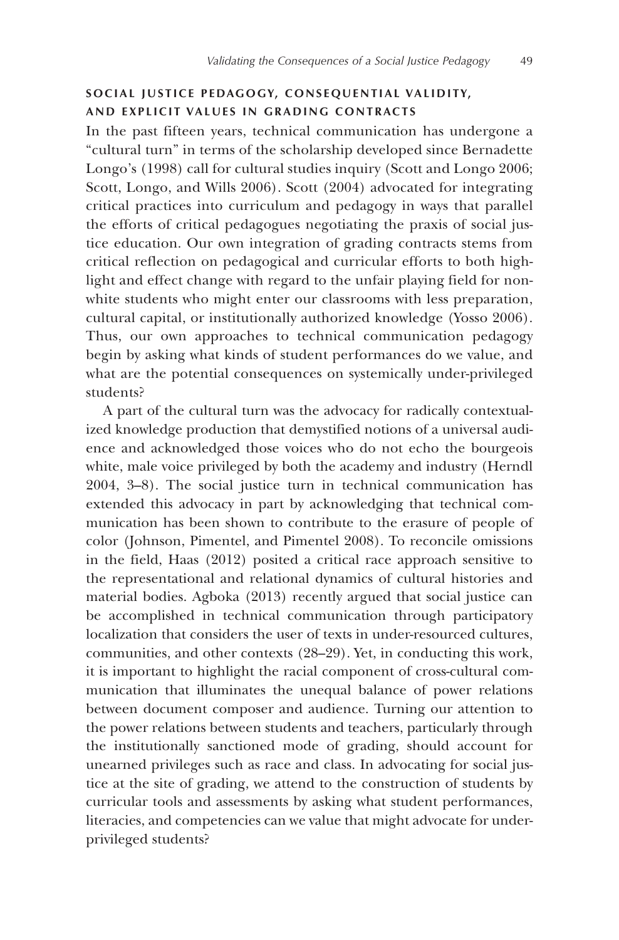## **S O CIAL JUSTICE PEDAGOGY, CONSEQU EN T IAL VALIDITY, AND EXPLICIT VALUES IN GRADING CONTRACTS**

In the past fifteen years, technical communication has undergone a "cultural turn" in terms of the scholarship developed since Bernadette Longo's (1998) call for cultural studies inquiry (Scott and Longo 2006; Scott, Longo, and Wills 2006). Scott (2004) advocated for integrating critical practices into curriculum and pedagogy in ways that parallel the efforts of critical pedagogues negotiating the praxis of social justice education. Our own integration of grading contracts stems from critical reflection on pedagogical and curricular efforts to both highlight and effect change with regard to the unfair playing field for nonwhite students who might enter our classrooms with less preparation, cultural capital, or institutionally authorized knowledge (Yosso 2006). Thus, our own approaches to technical communication pedagogy begin by asking what kinds of student performances do we value, and what are the potential consequences on systemically under-privileged students?

A part of the cultural turn was the advocacy for radically contextualized knowledge production that demystified notions of a universal audience and acknowledged those voices who do not echo the bourgeois white, male voice privileged by both the academy and industry (Herndl 2004, 3–8). The social justice turn in technical communication has extended this advocacy in part by acknowledging that technical communication has been shown to contribute to the erasure of people of color (Johnson, Pimentel, and Pimentel 2008). To reconcile omissions in the field, Haas (2012) posited a critical race approach sensitive to the representational and relational dynamics of cultural histories and material bodies. Agboka (2013) recently argued that social justice can be accomplished in technical communication through participatory localization that considers the user of texts in under-resourced cultures, communities, and other contexts (28–29). Yet, in conducting this work, it is important to highlight the racial component of cross-cultural communication that illuminates the unequal balance of power relations between document composer and audience. Turning our attention to the power relations between students and teachers, particularly through the institutionally sanctioned mode of grading, should account for unearned privileges such as race and class. In advocating for social justice at the site of grading, we attend to the construction of students by curricular tools and assessments by asking what student performances, literacies, and competencies can we value that might advocate for underprivileged students?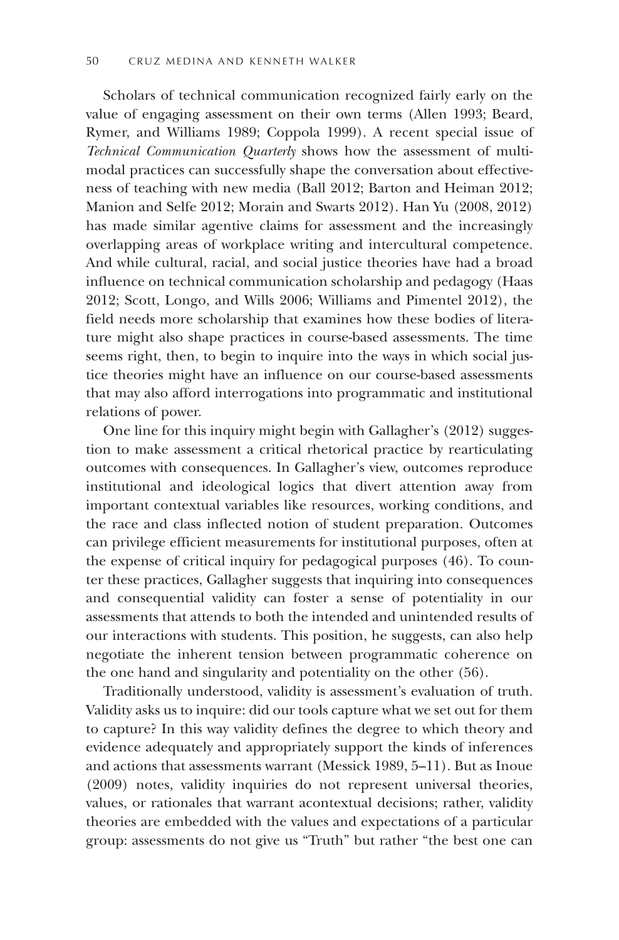Scholars of technical communication recognized fairly early on the value of engaging assessment on their own terms (Allen 1993; Beard, Rymer, and Williams 1989; Coppola 1999). A recent special issue of *Technical Communication Quarterly* shows how the assessment of multimodal practices can successfully shape the conversation about effectiveness of teaching with new media (Ball 2012; Barton and Heiman 2012; Manion and Selfe 2012; Morain and Swarts 2012). Han Yu (2008, 2012) has made similar agentive claims for assessment and the increasingly overlapping areas of workplace writing and intercultural competence. And while cultural, racial, and social justice theories have had a broad influence on technical communication scholarship and pedagogy (Haas 2012; Scott, Longo, and Wills 2006; Williams and Pimentel 2012), the field needs more scholarship that examines how these bodies of literature might also shape practices in course-based assessments. The time seems right, then, to begin to inquire into the ways in which social justice theories might have an influence on our course-based assessments that may also afford interrogations into programmatic and institutional relations of power.

One line for this inquiry might begin with Gallagher's (2012) suggestion to make assessment a critical rhetorical practice by rearticulating outcomes with consequences. In Gallagher's view, outcomes reproduce institutional and ideological logics that divert attention away from important contextual variables like resources, working conditions, and the race and class inflected notion of student preparation. Outcomes can privilege efficient measurements for institutional purposes, often at the expense of critical inquiry for pedagogical purposes (46). To counter these practices, Gallagher suggests that inquiring into consequences and consequential validity can foster a sense of potentiality in our assessments that attends to both the intended and unintended results of our interactions with students. This position, he suggests, can also help negotiate the inherent tension between programmatic coherence on the one hand and singularity and potentiality on the other (56).

Traditionally understood, validity is assessment's evaluation of truth. Validity asks us to inquire: did our tools capture what we set out for them to capture? In this way validity defines the degree to which theory and evidence adequately and appropriately support the kinds of inferences and actions that assessments warrant (Messick 1989, 5–11). But as Inoue (2009) notes, validity inquiries do not represent universal theories, values, or rationales that warrant acontextual decisions; rather, validity theories are embedded with the values and expectations of a particular group: assessments do not give us "Truth" but rather "the best one can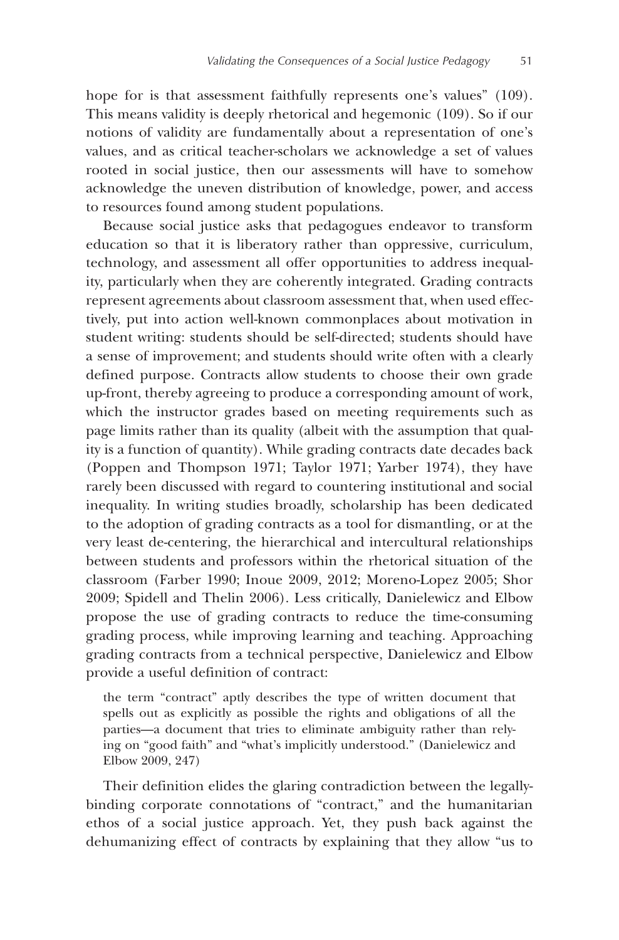hope for is that assessment faithfully represents one's values" (109). This means validity is deeply rhetorical and hegemonic (109). So if our notions of validity are fundamentally about a representation of one's values, and as critical teacher-scholars we acknowledge a set of values rooted in social justice, then our assessments will have to somehow acknowledge the uneven distribution of knowledge, power, and access to resources found among student populations.

Because social justice asks that pedagogues endeavor to transform education so that it is liberatory rather than oppressive, curriculum, technology, and assessment all offer opportunities to address inequality, particularly when they are coherently integrated. Grading contracts represent agreements about classroom assessment that, when used effectively, put into action well-known commonplaces about motivation in student writing: students should be self-directed; students should have a sense of improvement; and students should write often with a clearly defined purpose. Contracts allow students to choose their own grade up-front, thereby agreeing to produce a corresponding amount of work, which the instructor grades based on meeting requirements such as page limits rather than its quality (albeit with the assumption that quality is a function of quantity). While grading contracts date decades back (Poppen and Thompson 1971; Taylor 1971; Yarber 1974), they have rarely been discussed with regard to countering institutional and social inequality. In writing studies broadly, scholarship has been dedicated to the adoption of grading contracts as a tool for dismantling, or at the very least de-centering, the hierarchical and intercultural relationships between students and professors within the rhetorical situation of the classroom (Farber 1990; Inoue 2009, 2012; Moreno-Lopez 2005; Shor 2009; Spidell and Thelin 2006). Less critically, Danielewicz and Elbow propose the use of grading contracts to reduce the time-consuming grading process, while improving learning and teaching. Approaching grading contracts from a technical perspective, Danielewicz and Elbow provide a useful definition of contract:

the term "contract" aptly describes the type of written document that spells out as explicitly as possible the rights and obligations of all the parties—a document that tries to eliminate ambiguity rather than relying on "good faith" and "what's implicitly understood." (Danielewicz and Elbow 2009, 247)

Their definition elides the glaring contradiction between the legallybinding corporate connotations of "contract," and the humanitarian ethos of a social justice approach. Yet, they push back against the dehumanizing effect of contracts by explaining that they allow "us to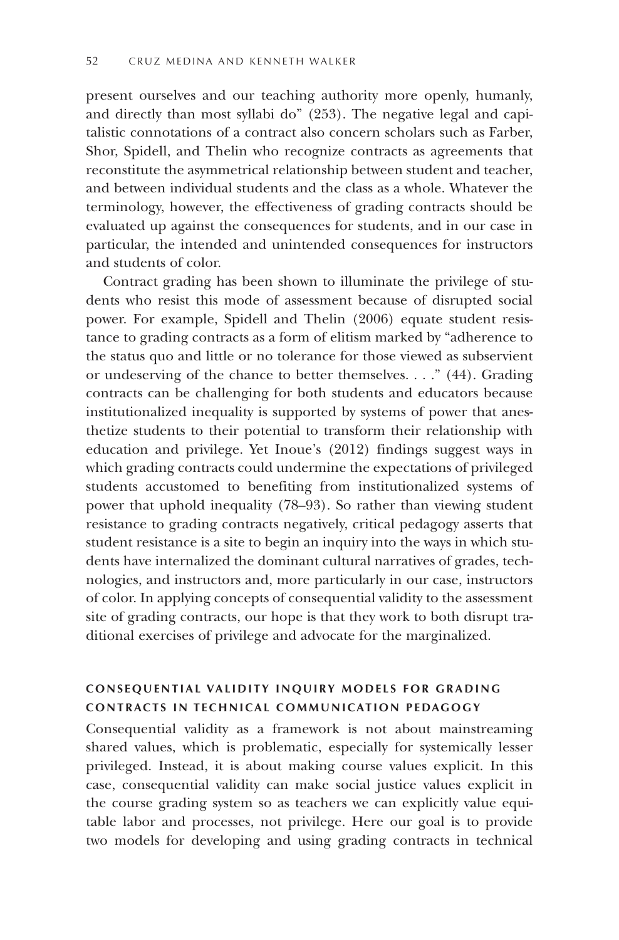present ourselves and our teaching authority more openly, humanly, and directly than most syllabi do" (253). The negative legal and capitalistic connotations of a contract also concern scholars such as Farber, Shor, Spidell, and Thelin who recognize contracts as agreements that reconstitute the asymmetrical relationship between student and teacher, and between individual students and the class as a whole. Whatever the terminology, however, the effectiveness of grading contracts should be evaluated up against the consequences for students, and in our case in particular, the intended and unintended consequences for instructors and students of color.

Contract grading has been shown to illuminate the privilege of students who resist this mode of assessment because of disrupted social power. For example, Spidell and Thelin (2006) equate student resistance to grading contracts as a form of elitism marked by "adherence to the status quo and little or no tolerance for those viewed as subservient or undeserving of the chance to better themselves. . . ." (44). Grading contracts can be challenging for both students and educators because institutionalized inequality is supported by systems of power that anesthetize students to their potential to transform their relationship with education and privilege. Yet Inoue's (2012) findings suggest ways in which grading contracts could undermine the expectations of privileged students accustomed to benefiting from institutionalized systems of power that uphold inequality (78–93). So rather than viewing student resistance to grading contracts negatively, critical pedagogy asserts that student resistance is a site to begin an inquiry into the ways in which students have internalized the dominant cultural narratives of grades, technologies, and instructors and, more particularly in our case, instructors of color. In applying concepts of consequential validity to the assessment site of grading contracts, our hope is that they work to both disrupt traditional exercises of privilege and advocate for the marginalized.

## **CONSEQUENTIAL VALIDITY INQUIRY MODELS FOR GRADING C O NTRACTS IN TECHNICAL COMMUNICATION PEDAGOGY**

Consequential validity as a framework is not about mainstreaming shared values, which is problematic, especially for systemically lesser privileged. Instead, it is about making course values explicit. In this case, consequential validity can make social justice values explicit in the course grading system so as teachers we can explicitly value equitable labor and processes, not privilege. Here our goal is to provide two models for developing and using grading contracts in technical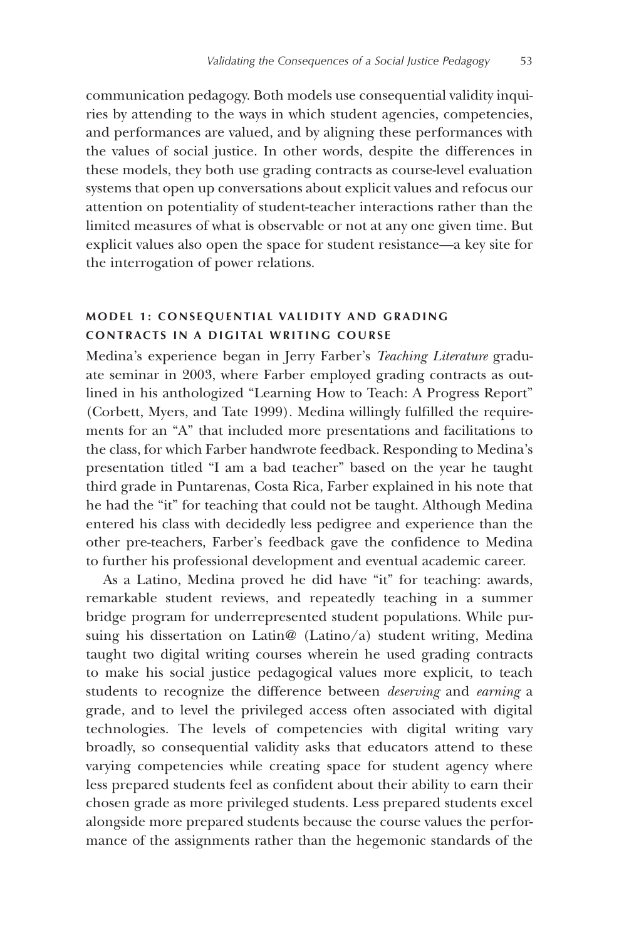communication pedagogy. Both models use consequential validity inquiries by attending to the ways in which student agencies, competencies, and performances are valued, and by aligning these performances with the values of social justice. In other words, despite the differences in these models, they both use grading contracts as course-level evaluation systems that open up conversations about explicit values and refocus our attention on potentiality of student-teacher interactions rather than the limited measures of what is observable or not at any one given time. But explicit values also open the space for student resistance—a key site for the interrogation of power relations.

## **M O DEL 1: CONSEQUENTIAL VALIDITY AND GRADING C O NTRACTS IN A DIGITAL WRITING COURSE**

Medina's experience began in Jerry Farber's *Teaching Literature* graduate seminar in 2003, where Farber employed grading contracts as outlined in his anthologized "Learning How to Teach: A Progress Report" (Corbett, Myers, and Tate 1999). Medina willingly fulfilled the requirements for an "A" that included more presentations and facilitations to the class, for which Farber handwrote feedback. Responding to Medina's presentation titled "I am a bad teacher" based on the year he taught third grade in Puntarenas, Costa Rica, Farber explained in his note that he had the "it" for teaching that could not be taught. Although Medina entered his class with decidedly less pedigree and experience than the other pre-teachers, Farber's feedback gave the confidence to Medina to further his professional development and eventual academic career.

As a Latino, Medina proved he did have "it" for teaching: awards, remarkable student reviews, and repeatedly teaching in a summer bridge program for underrepresented student populations. While pursuing his dissertation on Latin@ (Latino/a) student writing, Medina taught two digital writing courses wherein he used grading contracts to make his social justice pedagogical values more explicit, to teach students to recognize the difference between *deserving* and *earning* a grade, and to level the privileged access often associated with digital technologies. The levels of competencies with digital writing vary broadly, so consequential validity asks that educators attend to these varying competencies while creating space for student agency where less prepared students feel as confident about their ability to earn their chosen grade as more privileged students. Less prepared students excel alongside more prepared students because the course values the performance of the assignments rather than the hegemonic standards of the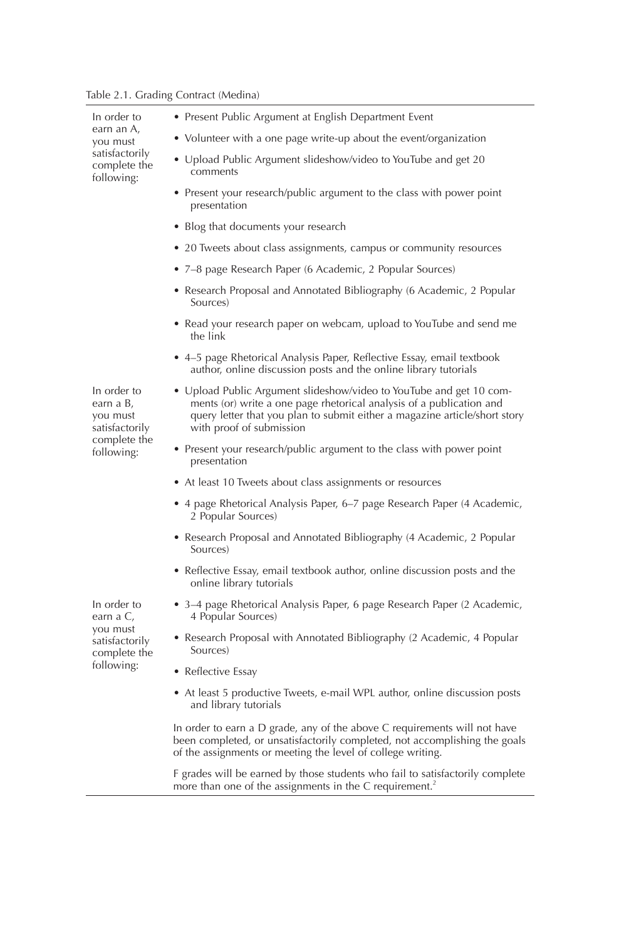Table 2.1. Grading Contract (Medina)

| In order to<br>earn an A,<br>you must<br>satisfactorily<br>complete the<br>following: | • Present Public Argument at English Department Event                                                                                                                                                                                                 |
|---------------------------------------------------------------------------------------|-------------------------------------------------------------------------------------------------------------------------------------------------------------------------------------------------------------------------------------------------------|
|                                                                                       | • Volunteer with a one page write-up about the event/organization                                                                                                                                                                                     |
|                                                                                       | • Upload Public Argument slideshow/video to YouTube and get 20<br>comments                                                                                                                                                                            |
|                                                                                       | • Present your research/public argument to the class with power point<br>presentation                                                                                                                                                                 |
|                                                                                       | • Blog that documents your research                                                                                                                                                                                                                   |
|                                                                                       | • 20 Tweets about class assignments, campus or community resources                                                                                                                                                                                    |
|                                                                                       | • 7–8 page Research Paper (6 Academic, 2 Popular Sources)                                                                                                                                                                                             |
|                                                                                       | • Research Proposal and Annotated Bibliography (6 Academic, 2 Popular<br>Sources)                                                                                                                                                                     |
|                                                                                       | • Read your research paper on webcam, upload to YouTube and send me<br>the link                                                                                                                                                                       |
|                                                                                       | • 4–5 page Rhetorical Analysis Paper, Reflective Essay, email textbook<br>author, online discussion posts and the online library tutorials                                                                                                            |
| In order to<br>earn a B,<br>you must<br>satisfactorily<br>complete the<br>following:  | • Upload Public Argument slideshow/video to YouTube and get 10 com-<br>ments (or) write a one page rhetorical analysis of a publication and<br>query letter that you plan to submit either a magazine article/short story<br>with proof of submission |
|                                                                                       | • Present your research/public argument to the class with power point<br>presentation                                                                                                                                                                 |
|                                                                                       | • At least 10 Tweets about class assignments or resources                                                                                                                                                                                             |
|                                                                                       | • 4 page Rhetorical Analysis Paper, 6-7 page Research Paper (4 Academic,<br>2 Popular Sources)                                                                                                                                                        |
|                                                                                       | • Research Proposal and Annotated Bibliography (4 Academic, 2 Popular<br>Sources)                                                                                                                                                                     |
|                                                                                       | • Reflective Essay, email textbook author, online discussion posts and the<br>online library tutorials                                                                                                                                                |
| In order to<br>earn a C,<br>you must<br>satisfactorily<br>complete the<br>following:  | • 3–4 page Rhetorical Analysis Paper, 6 page Research Paper (2 Academic,<br>4 Popular Sources)                                                                                                                                                        |
|                                                                                       | • Research Proposal with Annotated Bibliography (2 Academic, 4 Popular<br>Sources)                                                                                                                                                                    |
|                                                                                       | • Reflective Essay                                                                                                                                                                                                                                    |
|                                                                                       | • At least 5 productive Tweets, e-mail WPL author, online discussion posts<br>and library tutorials                                                                                                                                                   |
|                                                                                       | In order to earn a D grade, any of the above C requirements will not have<br>been completed, or unsatisfactorily completed, not accomplishing the goals<br>of the assignments or meeting the level of college writing.                                |
|                                                                                       | F grades will be earned by those students who fail to satisfactorily complete<br>more than one of the assignments in the C requirement. <sup>2</sup>                                                                                                  |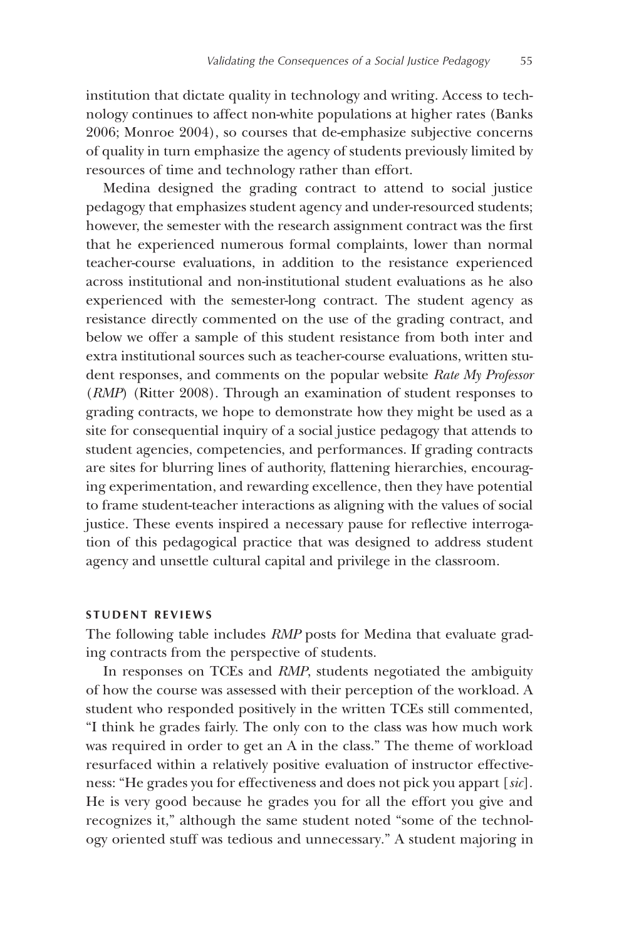institution that dictate quality in technology and writing. Access to technology continues to affect non-white populations at higher rates (Banks 2006; Monroe 2004), so courses that de-emphasize subjective concerns of quality in turn emphasize the agency of students previously limited by resources of time and technology rather than effort.

Medina designed the grading contract to attend to social justice pedagogy that emphasizes student agency and under-resourced students; however, the semester with the research assignment contract was the first that he experienced numerous formal complaints, lower than normal teacher-course evaluations, in addition to the resistance experienced across institutional and non-institutional student evaluations as he also experienced with the semester-long contract. The student agency as resistance directly commented on the use of the grading contract, and below we offer a sample of this student resistance from both inter and extra institutional sources such as teacher-course evaluations, written student responses, and comments on the popular website *Rate My Professor* (*RMP*) (Ritter 2008). Through an examination of student responses to grading contracts, we hope to demonstrate how they might be used as a site for consequential inquiry of a social justice pedagogy that attends to student agencies, competencies, and performances. If grading contracts are sites for blurring lines of authority, flattening hierarchies, encouraging experimentation, and rewarding excellence, then they have potential to frame student-teacher interactions as aligning with the values of social justice. These events inspired a necessary pause for reflective interrogation of this pedagogical practice that was designed to address student agency and unsettle cultural capital and privilege in the classroom.

### **S TUDENT REVIEWS**

The following table includes *RMP* posts for Medina that evaluate grading contracts from the perspective of students.

In responses on TCEs and *RMP*, students negotiated the ambiguity of how the course was assessed with their perception of the workload. A student who responded positively in the written TCEs still commented, "I think he grades fairly. The only con to the class was how much work was required in order to get an A in the class." The theme of workload resurfaced within a relatively positive evaluation of instructor effectiveness: "He grades you for effectiveness and does not pick you appart [*sic*]. He is very good because he grades you for all the effort you give and recognizes it," although the same student noted "some of the technology oriented stuff was tedious and unnecessary." A student majoring in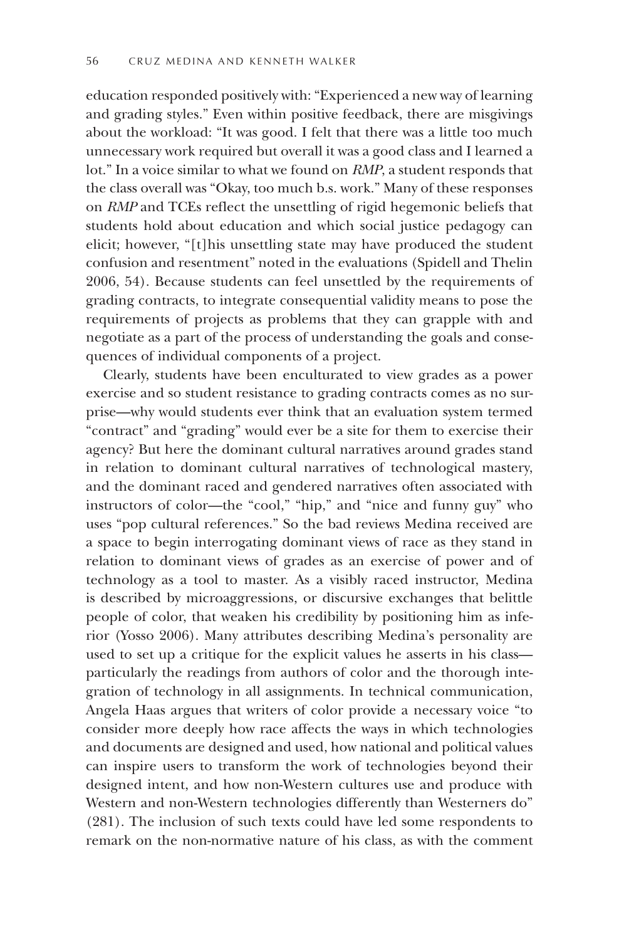education responded positively with: "Experienced a new way of learning and grading styles." Even within positive feedback, there are misgivings about the workload: "It was good. I felt that there was a little too much unnecessary work required but overall it was a good class and I learned a lot." In a voice similar to what we found on *RMP*, a student responds that the class overall was "Okay, too much b.s. work." Many of these responses on *RMP* and TCEs reflect the unsettling of rigid hegemonic beliefs that students hold about education and which social justice pedagogy can elicit; however, "[t]his unsettling state may have produced the student confusion and resentment" noted in the evaluations (Spidell and Thelin 2006, 54). Because students can feel unsettled by the requirements of grading contracts, to integrate consequential validity means to pose the requirements of projects as problems that they can grapple with and negotiate as a part of the process of understanding the goals and consequences of individual components of a project.

Clearly, students have been enculturated to view grades as a power exercise and so student resistance to grading contracts comes as no surprise—why would students ever think that an evaluation system termed "contract" and "grading" would ever be a site for them to exercise their agency? But here the dominant cultural narratives around grades stand in relation to dominant cultural narratives of technological mastery, and the dominant raced and gendered narratives often associated with instructors of color—the "cool," "hip," and "nice and funny guy" who uses "pop cultural references." So the bad reviews Medina received are a space to begin interrogating dominant views of race as they stand in relation to dominant views of grades as an exercise of power and of technology as a tool to master. As a visibly raced instructor, Medina is described by microaggressions, or discursive exchanges that belittle people of color, that weaken his credibility by positioning him as inferior (Yosso 2006). Many attributes describing Medina's personality are used to set up a critique for the explicit values he asserts in his class particularly the readings from authors of color and the thorough integration of technology in all assignments. In technical communication, Angela Haas argues that writers of color provide a necessary voice "to consider more deeply how race affects the ways in which technologies and documents are designed and used, how national and political values can inspire users to transform the work of technologies beyond their designed intent, and how non-Western cultures use and produce with Western and non-Western technologies differently than Westerners do" (281). The inclusion of such texts could have led some respondents to remark on the non-normative nature of his class, as with the comment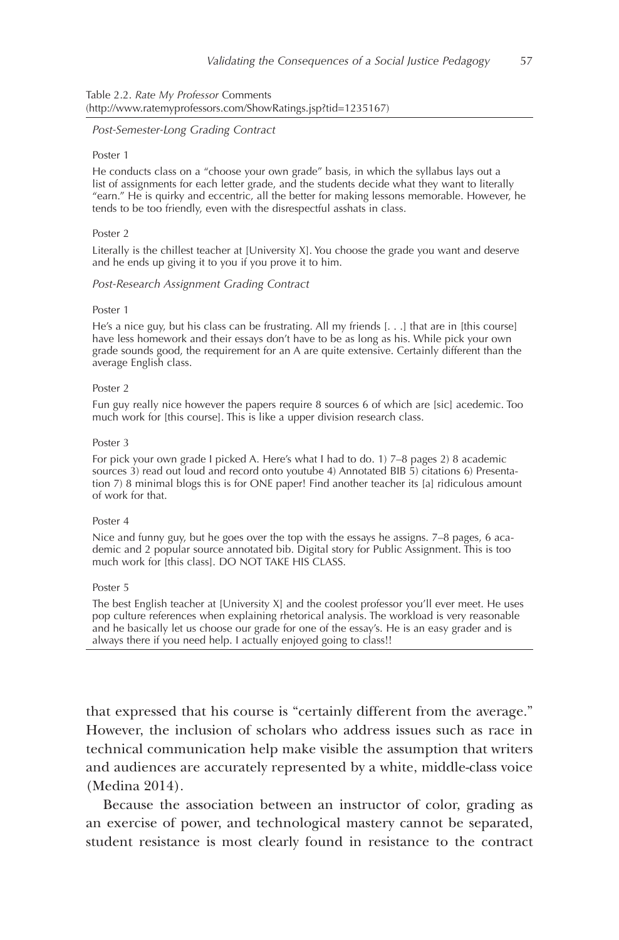#### Table 2.2. *Rate My Professor* Comments (http://www.ratemyprofessors.com/ShowRatings.jsp?tid=1235167)

#### *Post-Semester-Long Grading Contract*

#### Poster 1

He conducts class on a "choose your own grade" basis, in which the syllabus lays out a list of assignments for each letter grade, and the students decide what they want to literally "earn." He is quirky and eccentric, all the better for making lessons memorable. However, he tends to be too friendly, even with the disrespectful asshats in class.

#### Poster<sub>2</sub>

Literally is the chillest teacher at [University X]. You choose the grade you want and deserve and he ends up giving it to you if you prove it to him.

#### *Post-Research Assignment Grading Contract*

#### Poster 1

He's a nice guy, but his class can be frustrating. All my friends [. . .] that are in [this course] have less homework and their essays don't have to be as long as his. While pick your own grade sounds good, the requirement for an A are quite extensive. Certainly different than the average English class.

#### Poster 2

Fun guy really nice however the papers require 8 sources 6 of which are [sic] acedemic. Too much work for [this course]. This is like a upper division research class.

#### Poster 3

For pick your own grade I picked A. Here's what I had to do. 1) 7–8 pages 2) 8 academic sources 3) read out loud and record onto youtube 4) Annotated BIB 5) citations 6) Presentation 7) 8 minimal blogs this is for ONE paper! Find another teacher its [a] ridiculous amount of work for that.

#### Poster 4

Nice and funny guy, but he goes over the top with the essays he assigns. 7–8 pages, 6 academic and 2 popular source annotated bib. Digital story for Public Assignment. This is too much work for [this class]. DO NOT TAKE HIS CLASS.

#### Poster 5

The best English teacher at [University X] and the coolest professor you'll ever meet. He uses pop culture references when explaining rhetorical analysis. The workload is very reasonable and he basically let us choose our grade for one of the essay's. He is an easy grader and is always there if you need help. I actually enjoyed going to class!!

that expressed that his course is "certainly different from the average." However, the inclusion of scholars who address issues such as race in technical communication help make visible the assumption that writers and audiences are accurately represented by a white, middle-class voice (Medina 2014).

Because the association between an instructor of color, grading as an exercise of power, and technological mastery cannot be separated, student resistance is most clearly found in resistance to the contract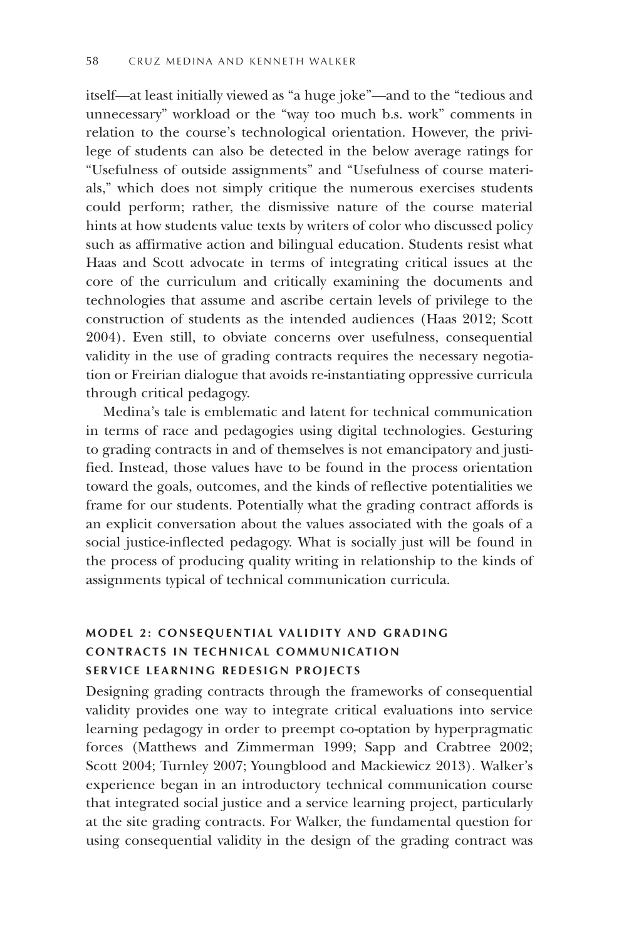itself—at least initially viewed as "a huge joke"—and to the "tedious and unnecessary" workload or the "way too much b.s. work" comments in relation to the course's technological orientation. However, the privilege of students can also be detected in the below average ratings for "Usefulness of outside assignments" and "Usefulness of course materials," which does not simply critique the numerous exercises students could perform; rather, the dismissive nature of the course material hints at how students value texts by writers of color who discussed policy such as affirmative action and bilingual education. Students resist what Haas and Scott advocate in terms of integrating critical issues at the core of the curriculum and critically examining the documents and technologies that assume and ascribe certain levels of privilege to the construction of students as the intended audiences (Haas 2012; Scott 2004). Even still, to obviate concerns over usefulness, consequential validity in the use of grading contracts requires the necessary negotiation or Freirian dialogue that avoids re-instantiating oppressive curricula through critical pedagogy.

Medina's tale is emblematic and latent for technical communication in terms of race and pedagogies using digital technologies. Gesturing to grading contracts in and of themselves is not emancipatory and justified. Instead, those values have to be found in the process orientation toward the goals, outcomes, and the kinds of reflective potentialities we frame for our students. Potentially what the grading contract affords is an explicit conversation about the values associated with the goals of a social justice-inflected pedagogy. What is socially just will be found in the process of producing quality writing in relationship to the kinds of assignments typical of technical communication curricula.

## **M O DEL 2: CONSEQUENTIAL VALIDITY AND GRADING C O NTRACTS IN TECHNICAL COMMUNICATION SERVICE LEARNING REDESIGN PROJECTS**

Designing grading contracts through the frameworks of consequential validity provides one way to integrate critical evaluations into service learning pedagogy in order to preempt co-optation by hyperpragmatic forces (Matthews and Zimmerman 1999; Sapp and Crabtree 2002; Scott 2004; Turnley 2007; Youngblood and Mackiewicz 2013). Walker's experience began in an introductory technical communication course that integrated social justice and a service learning project, particularly at the site grading contracts. For Walker, the fundamental question for using consequential validity in the design of the grading contract was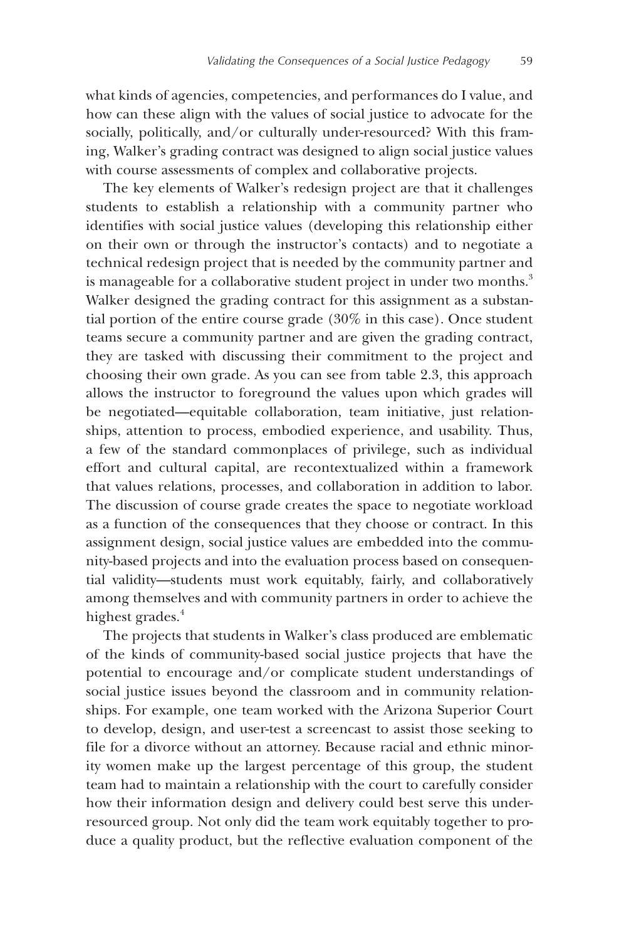what kinds of agencies, competencies, and performances do I value, and how can these align with the values of social justice to advocate for the socially, politically, and/or culturally under-resourced? With this framing, Walker's grading contract was designed to align social justice values with course assessments of complex and collaborative projects.

The key elements of Walker's redesign project are that it challenges students to establish a relationship with a community partner who identifies with social justice values (developing this relationship either on their own or through the instructor's contacts) and to negotiate a technical redesign project that is needed by the community partner and is manageable for a collaborative student project in under two months.<sup>3</sup> Walker designed the grading contract for this assignment as a substantial portion of the entire course grade (30% in this case). Once student teams secure a community partner and are given the grading contract, they are tasked with discussing their commitment to the project and choosing their own grade. As you can see from table 2.3, this approach allows the instructor to foreground the values upon which grades will be negotiated—equitable collaboration, team initiative, just relationships, attention to process, embodied experience, and usability. Thus, a few of the standard commonplaces of privilege, such as individual effort and cultural capital, are recontextualized within a framework that values relations, processes, and collaboration in addition to labor. The discussion of course grade creates the space to negotiate workload as a function of the consequences that they choose or contract. In this assignment design, social justice values are embedded into the community-based projects and into the evaluation process based on consequential validity—students must work equitably, fairly, and collaboratively among themselves and with community partners in order to achieve the highest grades.<sup>4</sup>

The projects that students in Walker's class produced are emblematic of the kinds of community-based social justice projects that have the potential to encourage and/or complicate student understandings of social justice issues beyond the classroom and in community relationships. For example, one team worked with the Arizona Superior Court to develop, design, and user-test a screencast to assist those seeking to file for a divorce without an attorney. Because racial and ethnic minority women make up the largest percentage of this group, the student team had to maintain a relationship with the court to carefully consider how their information design and delivery could best serve this underresourced group. Not only did the team work equitably together to produce a quality product, but the reflective evaluation component of the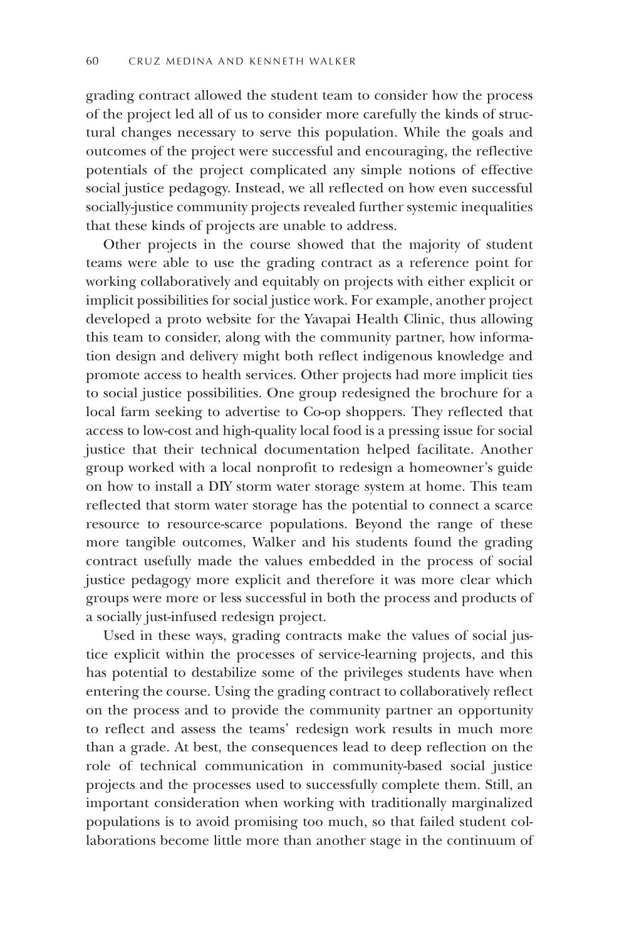grading contract allowed the student team to consider how the process of the project led all of us to consider more carefully the kinds of structural changes necessary to serve this population. While the goals and outcomes of the project were successful and encouraging, the reflective potentials of the project complicated any simple notions of effective social justice pedagogy. Instead, we all reflected on how even successful socially-justice community projects revealed further systemic inequalities that these kinds of projects are unable to address.

Other projects in the course showed that the majority of student teams were able to use the grading contract as a reference point for working collaboratively and equitably on projects with either explicit or implicit possibilities for social justice work. For example, another project developed a proto website for the Yavapai Health Clinic, thus allowing this team to consider, along with the community partner, how information design and delivery might both reflect indigenous knowledge and promote access to health services. Other projects had more implicit ties to social justice possibilities. One group redesigned the brochure for a local farm seeking to advertise to Co-op shoppers. They reflected that access to low-cost and high-quality local food is a pressing issue for social justice that their technical documentation helped facilitate. Another group worked with a local nonprofit to redesign a homeowner's guide on how to install a DIY storm water storage system at home. This team reflected that storm water storage has the potential to connect a scarce resource to resource-scarce populations. Beyond the range of these more tangible outcomes, Walker and his students found the grading contract usefully made the values embedded in the process of social justice pedagogy more explicit and therefore it was more clear which groups were more or less successful in both the process and products of a socially just-infused redesign project.

Used in these ways, grading contracts make the values of social justice explicit within the processes of service-learning projects, and this has potential to destabilize some of the privileges students have when entering the course. Using the grading contract to collaboratively reflect on the process and to provide the community partner an opportunity to reflect and assess the teams' redesign work results in much more than a grade. At best, the consequences lead to deep reflection on the role of technical communication in community-based social justice projects and the processes used to successfully complete them. Still, an important consideration when working with traditionally marginalized populations is to avoid promising too much, so that failed student collaborations become little more than another stage in the continuum of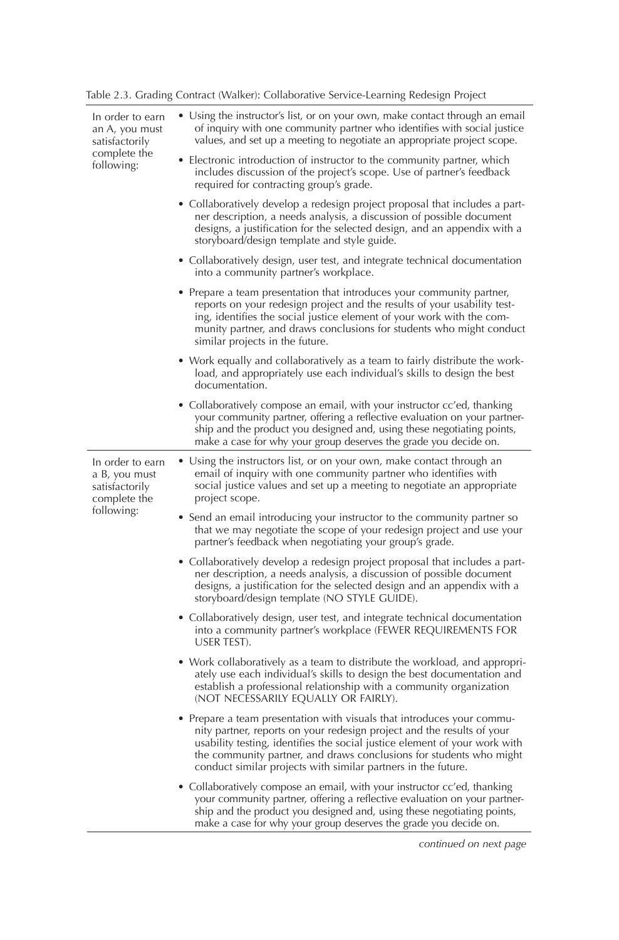| Table 2.3. Grading Contract (Walker): Collaborative Service-Learning Redesign Project |  |  |  |
|---------------------------------------------------------------------------------------|--|--|--|
|---------------------------------------------------------------------------------------|--|--|--|

| In order to earn<br>an A, you must<br>satisfactorily<br>complete the<br>following: | • Using the instructor's list, or on your own, make contact through an email<br>of inquiry with one community partner who identifies with social justice<br>values, and set up a meeting to negotiate an appropriate project scope.                                                                                                                                    |
|------------------------------------------------------------------------------------|------------------------------------------------------------------------------------------------------------------------------------------------------------------------------------------------------------------------------------------------------------------------------------------------------------------------------------------------------------------------|
|                                                                                    | • Electronic introduction of instructor to the community partner, which<br>includes discussion of the project's scope. Use of partner's feedback<br>required for contracting group's grade.                                                                                                                                                                            |
|                                                                                    | • Collaboratively develop a redesign project proposal that includes a part-<br>ner description, a needs analysis, a discussion of possible document<br>designs, a justification for the selected design, and an appendix with a<br>storyboard/design template and style guide.                                                                                         |
|                                                                                    | • Collaboratively design, user test, and integrate technical documentation<br>into a community partner's workplace.                                                                                                                                                                                                                                                    |
|                                                                                    | • Prepare a team presentation that introduces your community partner,<br>reports on your redesign project and the results of your usability test-<br>ing, identifies the social justice element of your work with the com-<br>munity partner, and draws conclusions for students who might conduct<br>similar projects in the future.                                  |
|                                                                                    | • Work equally and collaboratively as a team to fairly distribute the work-<br>load, and appropriately use each individual's skills to design the best<br>documentation.                                                                                                                                                                                               |
|                                                                                    | • Collaboratively compose an email, with your instructor cc'ed, thanking<br>your community partner, offering a reflective evaluation on your partner-<br>ship and the product you designed and, using these negotiating points,<br>make a case for why your group deserves the grade you decide on.                                                                    |
| In order to earn<br>a B, you must<br>satisfactorily<br>complete the                | • Using the instructors list, or on your own, make contact through an<br>email of inquiry with one community partner who identifies with<br>social justice values and set up a meeting to negotiate an appropriate<br>project scope.                                                                                                                                   |
| tollowing:                                                                         | • Send an email introducing your instructor to the community partner so<br>that we may negotiate the scope of your redesign project and use your<br>partner's feedback when negotiating your group's grade.                                                                                                                                                            |
|                                                                                    | • Collaboratively develop a redesign project proposal that includes a part-<br>ner description, a needs analysis, a discussion of possible document<br>designs, a justification for the selected design and an appendix with a<br>storyboard/design template (NO STYLE GUIDE).                                                                                         |
|                                                                                    | • Collaboratively design, user test, and integrate technical documentation<br>into a community partner's workplace (FEWER REQUIREMENTS FOR<br>USER TEST).                                                                                                                                                                                                              |
|                                                                                    | • Work collaboratively as a team to distribute the workload, and appropri-<br>ately use each individual's skills to design the best documentation and<br>establish a professional relationship with a community organization<br>(NOT NECESSARILY EQUALLY OR FAIRLY).                                                                                                   |
|                                                                                    | • Prepare a team presentation with visuals that introduces your commu-<br>nity partner, reports on your redesign project and the results of your<br>usability testing, identifies the social justice element of your work with<br>the community partner, and draws conclusions for students who might<br>conduct similar projects with similar partners in the future. |
|                                                                                    | • Collaboratively compose an email, with your instructor cc'ed, thanking<br>your community partner, offering a reflective evaluation on your partner-<br>ship and the product you designed and, using these negotiating points,<br>make a case for why your group deserves the grade you decide on.                                                                    |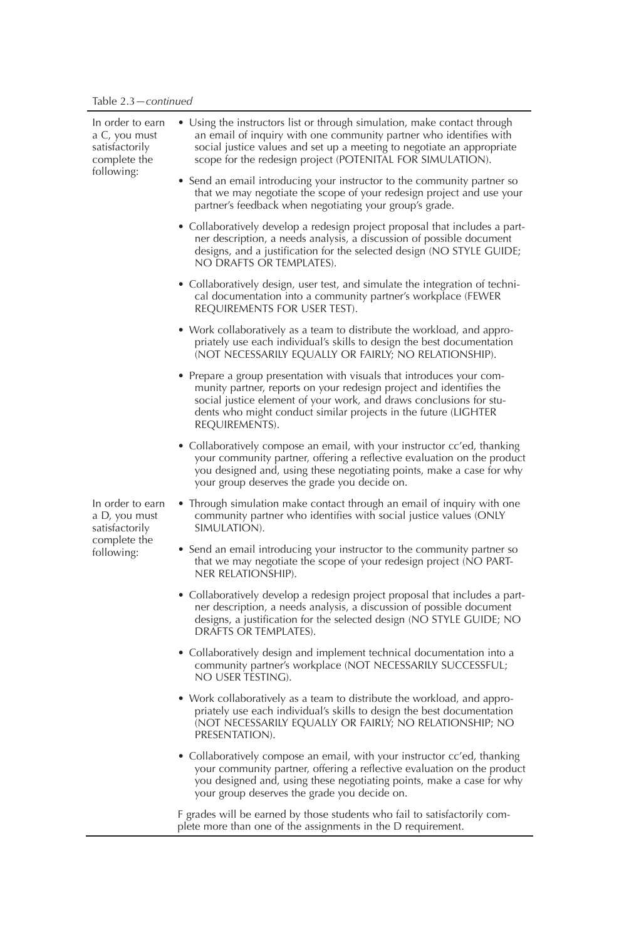| In order to earn<br>a C, you must<br>satisfactorily<br>complete the<br>following: | • Using the instructors list or through simulation, make contact through<br>an email of inquiry with one community partner who identifies with<br>social justice values and set up a meeting to negotiate an appropriate<br>scope for the redesign project (POTENITAL FOR SIMULATION).                   |
|-----------------------------------------------------------------------------------|----------------------------------------------------------------------------------------------------------------------------------------------------------------------------------------------------------------------------------------------------------------------------------------------------------|
|                                                                                   | • Send an email introducing your instructor to the community partner so<br>that we may negotiate the scope of your redesign project and use your<br>partner's feedback when negotiating your group's grade.                                                                                              |
|                                                                                   | • Collaboratively develop a redesign project proposal that includes a part-<br>ner description, a needs analysis, a discussion of possible document<br>designs, and a justification for the selected design (NO STYLE GUIDE;<br>NO DRAFTS OR TEMPLATES).                                                 |
|                                                                                   | • Collaboratively design, user test, and simulate the integration of techni-<br>cal documentation into a community partner's workplace (FEWER<br>REQUIREMENTS FOR USER TEST).                                                                                                                            |
|                                                                                   | • Work collaboratively as a team to distribute the workload, and appro-<br>priately use each individual's skills to design the best documentation<br>(NOT NECESSARILY EQUALLY OR FAIRLY; NO RELATIONSHIP).                                                                                               |
|                                                                                   | • Prepare a group presentation with visuals that introduces your com-<br>munity partner, reports on your redesign project and identifies the<br>social justice element of your work, and draws conclusions for stu-<br>dents who might conduct similar projects in the future (LIGHTER<br>REQUIREMENTS). |
|                                                                                   | • Collaboratively compose an email, with your instructor cc'ed, thanking<br>your community partner, offering a reflective evaluation on the product<br>you designed and, using these negotiating points, make a case for why<br>your group deserves the grade you decide on.                             |
| In order to earn<br>a D, you must<br>satisfactorily                               | • Through simulation make contact through an email of inquiry with one<br>community partner who identifies with social justice values (ONLY<br>SIMULATION).                                                                                                                                              |
| complete the<br>following:                                                        | • Send an email introducing your instructor to the community partner so<br>that we may negotiate the scope of your redesign project (NO PART-<br>NER RELATIONSHIP).                                                                                                                                      |
|                                                                                   | • Collaboratively develop a redesign project proposal that includes a part-<br>ner description, a needs analysis, a discussion of possible document<br>designs, a justification for the selected design (NO STYLE GUIDE; NO<br>DRAFTS OR TEMPLATES).                                                     |
|                                                                                   | • Collaboratively design and implement technical documentation into a<br>community partner's workplace (NOT NECESSARILY SUCCESSFUL;<br>NO USER TESTING).                                                                                                                                                 |
|                                                                                   | • Work collaboratively as a team to distribute the workload, and appro-<br>priately use each individual's skills to design the best documentation<br>(NOT NECESSARILY EQUALLY OR FAIRLY; NO RELATIONSHIP; NO<br>PRESENTATION).                                                                           |
|                                                                                   | • Collaboratively compose an email, with your instructor cc'ed, thanking<br>your community partner, offering a reflective evaluation on the product<br>you designed and, using these negotiating points, make a case for why<br>your group deserves the grade you decide on.                             |

F grades will be earned by those students who fail to satisfactorily complete more than one of the assignments in the D requirement.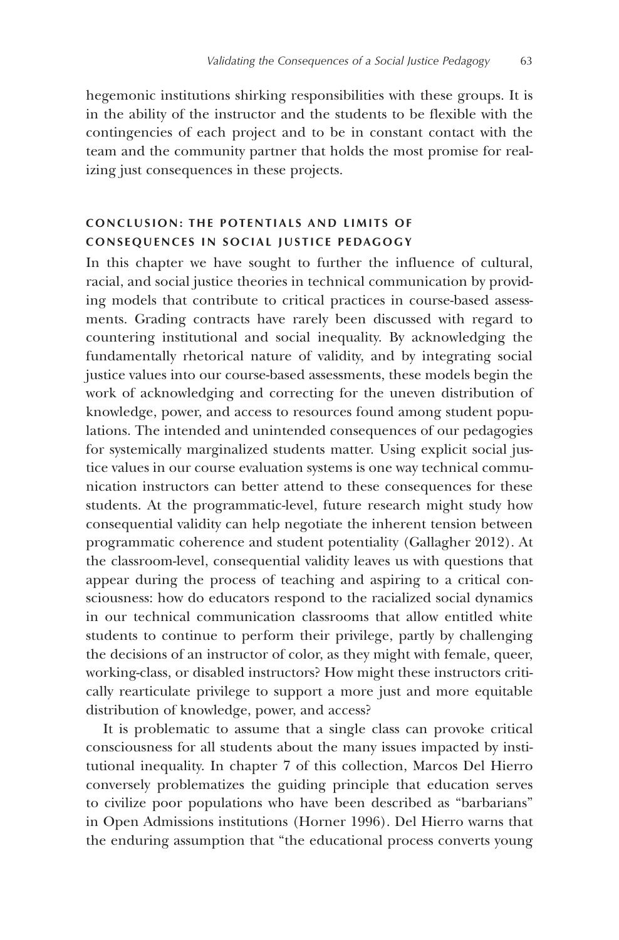hegemonic institutions shirking responsibilities with these groups. It is in the ability of the instructor and the students to be flexible with the contingencies of each project and to be in constant contact with the team and the community partner that holds the most promise for realizing just consequences in these projects.

## **CONCLUSION: THE POTENTIALS AND LIMITS OF CONSEQUENCES IN SOCIAL JUSTICE PEDAGOGY**

In this chapter we have sought to further the influence of cultural, racial, and social justice theories in technical communication by providing models that contribute to critical practices in course-based assessments. Grading contracts have rarely been discussed with regard to countering institutional and social inequality. By acknowledging the fundamentally rhetorical nature of validity, and by integrating social justice values into our course-based assessments, these models begin the work of acknowledging and correcting for the uneven distribution of knowledge, power, and access to resources found among student populations. The intended and unintended consequences of our pedagogies for systemically marginalized students matter. Using explicit social justice values in our course evaluation systems is one way technical communication instructors can better attend to these consequences for these students. At the programmatic-level, future research might study how consequential validity can help negotiate the inherent tension between programmatic coherence and student potentiality (Gallagher 2012). At the classroom-level, consequential validity leaves us with questions that appear during the process of teaching and aspiring to a critical consciousness: how do educators respond to the racialized social dynamics in our technical communication classrooms that allow entitled white students to continue to perform their privilege, partly by challenging the decisions of an instructor of color, as they might with female, queer, working-class, or disabled instructors? How might these instructors critically rearticulate privilege to support a more just and more equitable distribution of knowledge, power, and access?

It is problematic to assume that a single class can provoke critical consciousness for all students about the many issues impacted by institutional inequality. In chapter 7 of this collection, Marcos Del Hierro conversely problematizes the guiding principle that education serves to civilize poor populations who have been described as "barbarians" in Open Admissions institutions (Horner 1996). Del Hierro warns that the enduring assumption that "the educational process converts young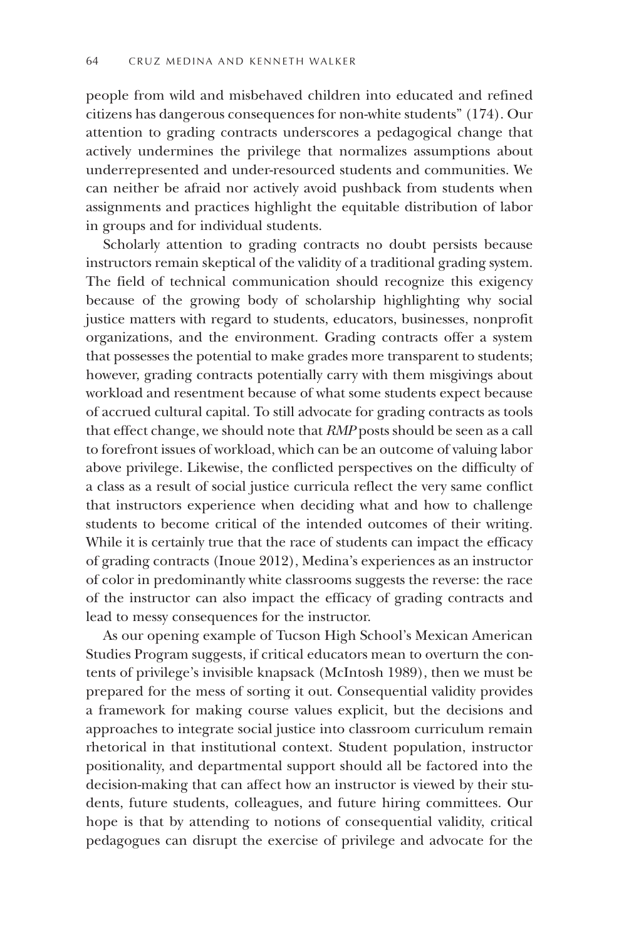people from wild and misbehaved children into educated and refined citizens has dangerous consequences for non-white students" (174). Our attention to grading contracts underscores a pedagogical change that actively undermines the privilege that normalizes assumptions about underrepresented and under-resourced students and communities. We can neither be afraid nor actively avoid pushback from students when assignments and practices highlight the equitable distribution of labor in groups and for individual students.

Scholarly attention to grading contracts no doubt persists because instructors remain skeptical of the validity of a traditional grading system. The field of technical communication should recognize this exigency because of the growing body of scholarship highlighting why social justice matters with regard to students, educators, businesses, nonprofit organizations, and the environment. Grading contracts offer a system that possesses the potential to make grades more transparent to students; however, grading contracts potentially carry with them misgivings about workload and resentment because of what some students expect because of accrued cultural capital. To still advocate for grading contracts as tools that effect change, we should note that *RMP* posts should be seen as a call to forefront issues of workload, which can be an outcome of valuing labor above privilege. Likewise, the conflicted perspectives on the difficulty of a class as a result of social justice curricula reflect the very same conflict that instructors experience when deciding what and how to challenge students to become critical of the intended outcomes of their writing. While it is certainly true that the race of students can impact the efficacy of grading contracts (Inoue 2012), Medina's experiences as an instructor of color in predominantly white classrooms suggests the reverse: the race of the instructor can also impact the efficacy of grading contracts and lead to messy consequences for the instructor.

As our opening example of Tucson High School's Mexican American Studies Program suggests, if critical educators mean to overturn the contents of privilege's invisible knapsack (McIntosh 1989), then we must be prepared for the mess of sorting it out. Consequential validity provides a framework for making course values explicit, but the decisions and approaches to integrate social justice into classroom curriculum remain rhetorical in that institutional context. Student population, instructor positionality, and departmental support should all be factored into the decision-making that can affect how an instructor is viewed by their students, future students, colleagues, and future hiring committees. Our hope is that by attending to notions of consequential validity, critical pedagogues can disrupt the exercise of privilege and advocate for the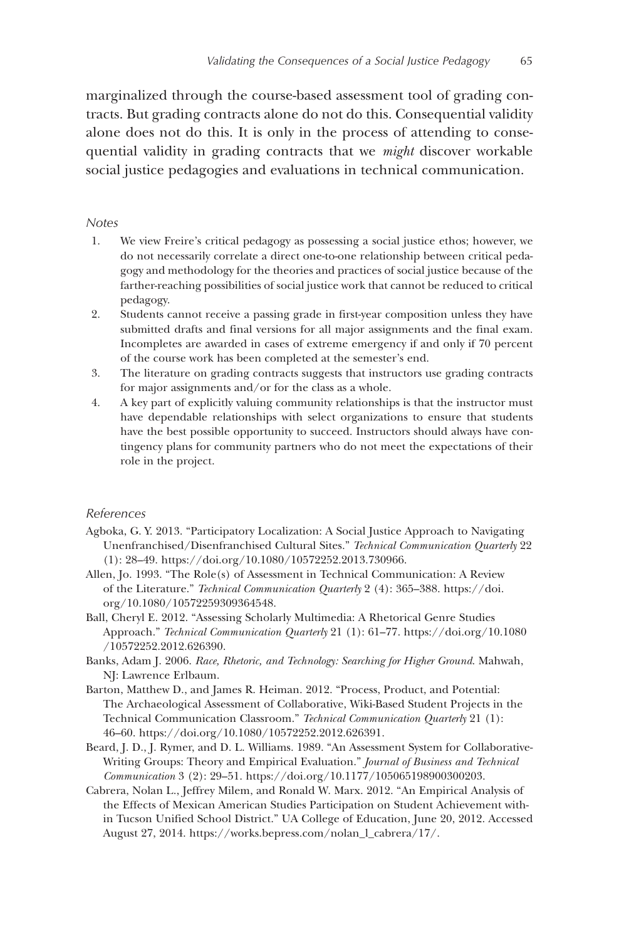marginalized through the course-based assessment tool of grading contracts. But grading contracts alone do not do this. Consequential validity alone does not do this. It is only in the process of attending to consequential validity in grading contracts that we *might* discover workable social justice pedagogies and evaluations in technical communication.

#### *Notes*

- 1. We view Freire's critical pedagogy as possessing a social justice ethos; however, we do not necessarily correlate a direct one-to-one relationship between critical pedagogy and methodology for the theories and practices of social justice because of the farther-reaching possibilities of social justice work that cannot be reduced to critical pedagogy.
- 2. Students cannot receive a passing grade in first-year composition unless they have submitted drafts and final versions for all major assignments and the final exam. Incompletes are awarded in cases of extreme emergency if and only if 70 percent of the course work has been completed at the semester's end.
- 3. The literature on grading contracts suggests that instructors use grading contracts for major assignments and/or for the class as a whole.
- 4. A key part of explicitly valuing community relationships is that the instructor must have dependable relationships with select organizations to ensure that students have the best possible opportunity to succeed. Instructors should always have contingency plans for community partners who do not meet the expectations of their role in the project.

#### *References*

- Agboka, G. Y. 2013. "Participatory Localization: A Social Justice Approach to Navigating Unenfranchised/Disenfranchised Cultural Sites." *Technical Communication Quarterly* 22 (1): 28–49. https://doi.org/10.1080/10572252.2013.730966.
- Allen, Jo. 1993. "The Role(s) of Assessment in Technical Communication: A Review of the Literature." *Technical Communication Quarterly* 2 (4): 365–388. https://doi. org/10.1080/10572259309364548.
- Ball, Cheryl E. 2012. "Assessing Scholarly Multimedia: A Rhetorical Genre Studies Approach." *Technical Communication Quarterly* 21 (1): 61–77. https://doi.org/10.1080 /10572252.2012.626390.
- Banks, Adam J. 2006. *Race, Rhetoric, and Technology: Searching for Higher Ground*. Mahwah, NJ: Lawrence Erlbaum.
- Barton, Matthew D., and James R. Heiman. 2012. "Process, Product, and Potential: The Archaeological Assessment of Collaborative, Wiki-Based Student Projects in the Technical Communication Classroom." *Technical Communication Quarterly* 21 (1): 46–60. https://doi.org/10.1080/10572252.2012.626391.
- Beard, J. D., J. Rymer, and D. L. Williams. 1989. "An Assessment System for Collaborative-Writing Groups: Theory and Empirical Evaluation." *Journal of Business and Technical Communication* 3 (2): 29–51. https://doi.org/10.1177/105065198900300203.
- Cabrera, Nolan L., Jeffrey Milem, and Ronald W. Marx. 2012. "An Empirical Analysis of the Effects of Mexican American Studies Participation on Student Achievement within Tucson Unified School District." UA College of Education, June 20, 2012. Accessed August 27, 2014. https://works.bepress.com/nolan\_l\_cabrera/17/.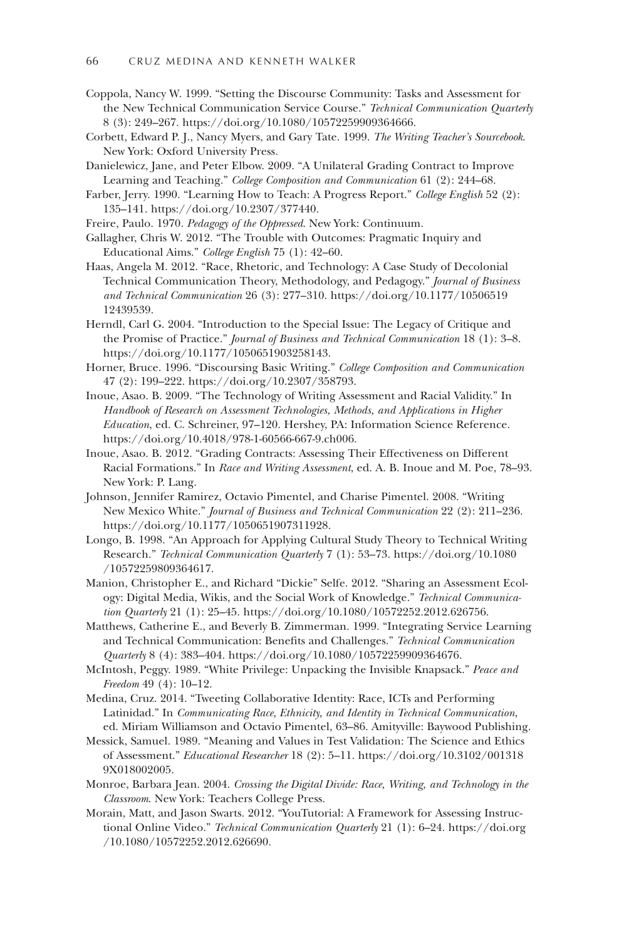- Coppola, Nancy W. 1999. "Setting the Discourse Community: Tasks and Assessment for the New Technical Communication Service Course." *Technical Communication Quarterly* 8 (3): 249–267. https://doi.org/10.1080/10572259909364666.
- Corbett, Edward P. J., Nancy Myers, and Gary Tate. 1999. *The Writing Teacher's Sourcebook*. New York: Oxford University Press.
- Danielewicz, Jane, and Peter Elbow. 2009. "A Unilateral Grading Contract to Improve Learning and Teaching." *College Composition and Communication* 61 (2): 244–68.
- Farber, Jerry. 1990. "Learning How to Teach: A Progress Report." *College English* 52 (2): 135–141. https://doi.org/10.2307/377440.
- Freire, Paulo. 1970. *Pedagogy of the Oppressed*. New York: Continuum.
- Gallagher, Chris W. 2012. "The Trouble with Outcomes: Pragmatic Inquiry and Educational Aims." *College English* 75 (1): 42–60.
- Haas, Angela M. 2012. "Race, Rhetoric, and Technology: A Case Study of Decolonial Technical Communication Theory, Methodology, and Pedagogy." *Journal of Business and Technical Communication* 26 (3): 277–310. https://doi.org/10.1177/10506519 12439539.
- Herndl, Carl G. 2004. "Introduction to the Special Issue: The Legacy of Critique and the Promise of Practice." *Journal of Business and Technical Communication* 18 (1): 3–8. https://doi.org/10.1177/1050651903258143.
- Horner, Bruce. 1996. "Discoursing Basic Writing." *College Composition and Communication* 47 (2): 199–222. https://doi.org/10.2307/358793.
- Inoue, Asao. B. 2009. "The Technology of Writing Assessment and Racial Validity." In *Handbook of Research on Assessment Technologies, Methods, and Applications in Higher Education*, ed. C. Schreiner, 97–120. Hershey, PA: Information Science Reference. https://doi.org/10.4018/978-1-60566-667-9.ch006.
- Inoue, Asao. B. 2012. "Grading Contracts: Assessing Their Effectiveness on Different Racial Formations." In *Race and Writing Assessment*, ed. A. B. Inoue and M. Poe, 78–93. New York: P. Lang.
- Johnson, Jennifer Ramirez, Octavio Pimentel, and Charise Pimentel. 2008. "Writing New Mexico White." *Journal of Business and Technical Communication* 22 (2): 211–236. https://doi.org/10.1177/1050651907311928.
- Longo, B. 1998. "An Approach for Applying Cultural Study Theory to Technical Writing Research." *Technical Communication Quarterly* 7 (1): 53–73. https://doi.org/10.1080 /10572259809364617.
- Manion, Christopher E., and Richard "Dickie" Selfe. 2012. "Sharing an Assessment Ecology: Digital Media, Wikis, and the Social Work of Knowledge." *Technical Communication Quarterly* 21 (1): 25–45. https://doi.org/10.1080/10572252.2012.626756.
- Matthews, Catherine E., and Beverly B. Zimmerman. 1999. "Integrating Service Learning and Technical Communication: Benefits and Challenges." *Technical Communication Quarterly* 8 (4): 383–404. https://doi.org/10.1080/10572259909364676.
- McIntosh, Peggy. 1989. "White Privilege: Unpacking the Invisible Knapsack." *Peace and Freedom* 49 (4): 10–12.
- Medina, Cruz. 2014. "Tweeting Collaborative Identity: Race, ICTs and Performing Latinidad." In *Communicating Race, Ethnicity, and Identity in Technical Communication*, ed. Miriam Williamson and Octavio Pimentel, 63–86. Amityville: Baywood Publishing.
- Messick, Samuel. 1989. "Meaning and Values in Test Validation: The Science and Ethics of Assessment." *Educational Researcher* 18 (2): 5–11. https://doi.org/10.3102/001318 9X018002005.
- Monroe, Barbara Jean. 2004. *Crossing the Digital Divide: Race, Writing, and Technology in the Classroom*. New York: Teachers College Press.
- Morain, Matt, and Jason Swarts. 2012. "YouTutorial: A Framework for Assessing Instructional Online Video." *Technical Communication Quarterly* 21 (1): 6–24. https://doi.org /10.1080/10572252.2012.626690.